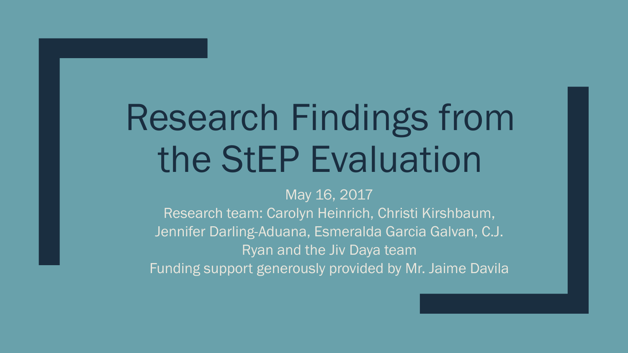# Research Findings from the StEP Evaluation

#### May 16, 2017

Research team: Carolyn Heinrich, Christi Kirshbaum, Jennifer Darling-Aduana, Esmeralda Garcia Galvan, C.J. Ryan and the Jiv Daya team Funding support generously provided by Mr. Jaime Davila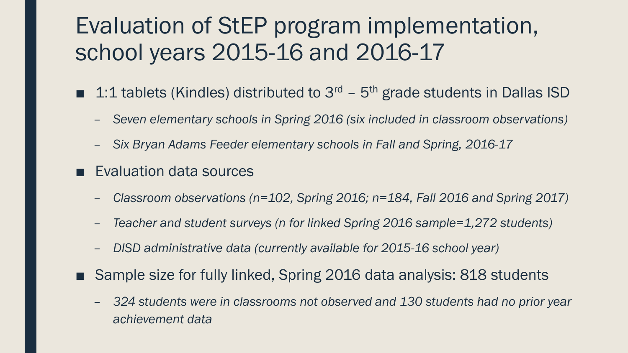# Evaluation of StEP program implementation, school years 2015-16 and 2016-17

- 1:1 tablets (Kindles) distributed to  $3<sup>rd</sup>$   $5<sup>th</sup>$  grade students in Dallas ISD
	- *Seven elementary schools in Spring 2016 (six included in classroom observations)*
	- *Six Bryan Adams Feeder elementary schools in Fall and Spring, 2016-17*
- Evaluation data sources
	- *Classroom observations (n=102, Spring 2016; n=184, Fall 2016 and Spring 2017)*
	- *Teacher and student surveys (n for linked Spring 2016 sample=1,272 students)*
	- *DISD administrative data (currently available for 2015-16 school year)*
- Sample size for fully linked, Spring 2016 data analysis: 818 students
	- *324 students were in classrooms not observed and 130 students had no prior year achievement data*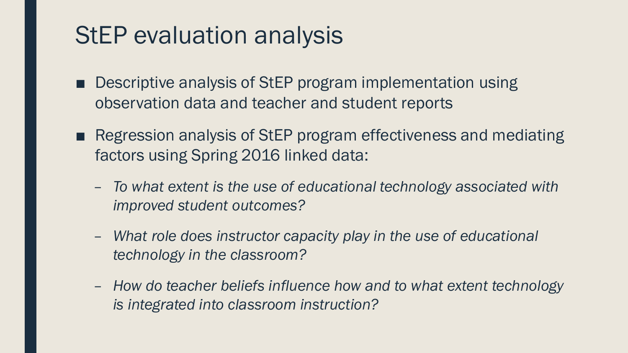# StEP evaluation analysis

- Descriptive analysis of StEP program implementation using observation data and teacher and student reports
- Regression analysis of StEP program effectiveness and mediating factors using Spring 2016 linked data:
	- *To what extent is the use of educational technology associated with improved student outcomes?*
	- *What role does instructor capacity play in the use of educational technology in the classroom?*
	- *How do teacher beliefs influence how and to what extent technology is integrated into classroom instruction?*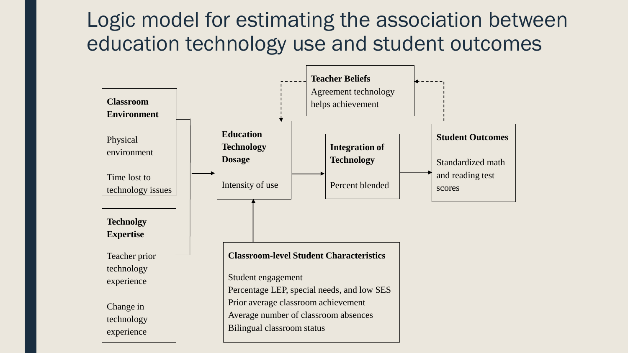## Logic model for estimating the association between education technology use and student outcomes

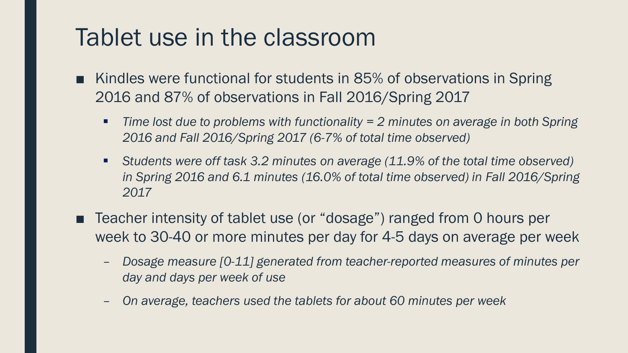## Tablet use in the classroom

- Kindles were functional for students in 85% of observations in Spring 2016 and 87% of observations in Fall 2016/Spring 2017
	- *Time lost due to problems with functionality = 2 minutes on average in both Spring 2016 and Fall 2016/Spring 2017 (6-7% of total time observed)*
	- *Students were off task 3.2 minutes on average (11.9% of the total time observed) in Spring 2016 and 6.1 minutes (16.0% of total time observed) in Fall 2016/Spring 2017*
- Teacher intensity of tablet use (or "dosage") ranged from 0 hours per week to 30-40 or more minutes per day for 4-5 days on average per week
	- *Dosage measure [0-11] generated from teacher-reported measures of minutes per day and days per week of use*
	- *On average, teachers used the tablets for about 60 minutes per week*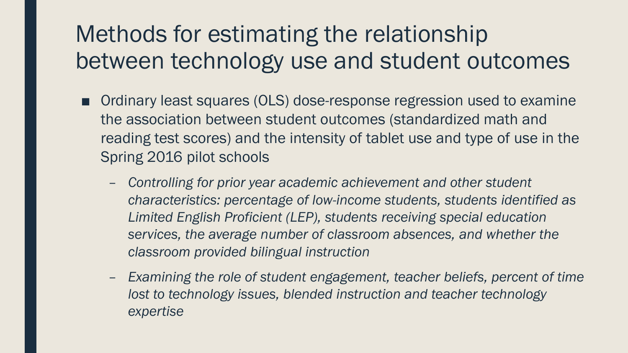# Methods for estimating the relationship between technology use and student outcomes

- Ordinary least squares (OLS) dose-response regression used to examine the association between student outcomes (standardized math and reading test scores) and the intensity of tablet use and type of use in the Spring 2016 pilot schools
	- *Controlling for prior year academic achievement and other student characteristics: percentage of low-income students, students identified as Limited English Proficient (LEP), students receiving special education services, the average number of classroom absences, and whether the classroom provided bilingual instruction*
	- *Examining the role of student engagement, teacher beliefs, percent of time lost to technology issues, blended instruction and teacher technology expertise*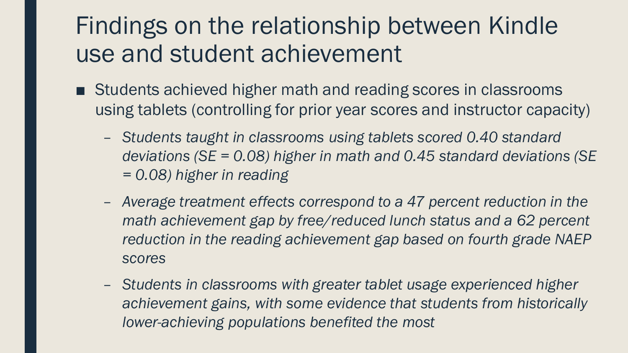# Findings on the relationship between Kindle use and student achievement

- Students achieved higher math and reading scores in classrooms using tablets (controlling for prior year scores and instructor capacity)
	- *Students taught in classrooms using tablets scored 0.40 standard deviations (SE = 0.08) higher in math and 0.45 standard deviations (SE = 0.08) higher in reading*
	- *Average treatment effects correspond to a 47 percent reduction in the math achievement gap by free/reduced lunch status and a 62 percent reduction in the reading achievement gap based on fourth grade NAEP scores*
	- *Students in classrooms with greater tablet usage experienced higher achievement gains, with some evidence that students from historically lower-achieving populations benefited the most*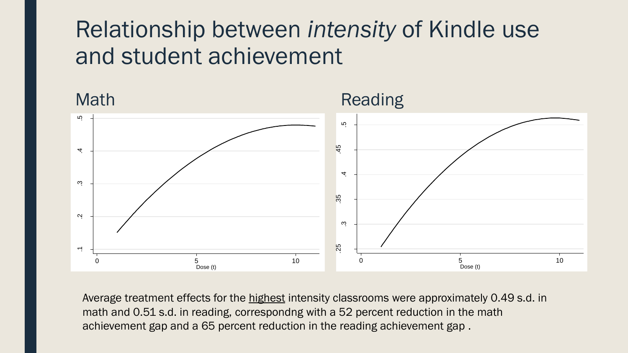## Relationship between *intensity* of Kindle use and student achievement



Average treatment effects for the highest intensity classrooms were approximately 0.49 s.d. in math and 0.51 s.d. in reading, correspondng with a 52 percent reduction in the math achievement gap and a 65 percent reduction in the reading achievement gap .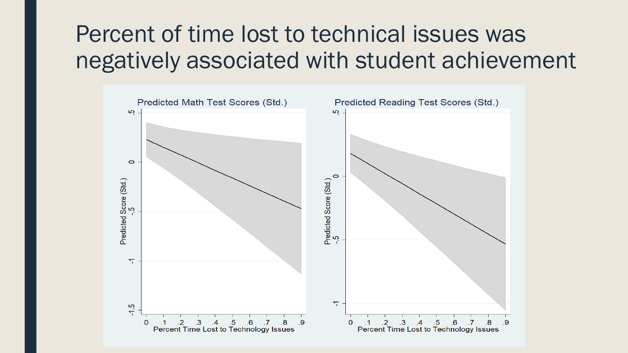# Percent of time lost to technical issues was negatively associated with student achievement

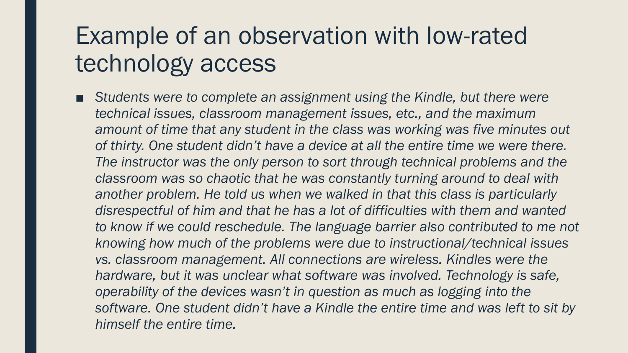# Example of an observation with low-rated technology access

■ *Students were to complete an assignment using the Kindle, but there were technical issues, classroom management issues, etc., and the maximum amount of time that any student in the class was working was five minutes out of thirty. One student didn't have a device at all the entire time we were there. The instructor was the only person to sort through technical problems and the classroom was so chaotic that he was constantly turning around to deal with*  another problem. He told us when we walked in that this class is particularly *disrespectful of him and that he has a lot of difficulties with them and wanted to know if we could reschedule. The language barrier also contributed to me not knowing how much of the problems were due to instructional/technical issues vs. classroom management. All connections are wireless. Kindles were the hardware, but it was unclear what software was involved. Technology is safe, operability of the devices wasn't in question as much as logging into the software. One student didn't have a Kindle the entire time and was left to sit by himself the entire time.*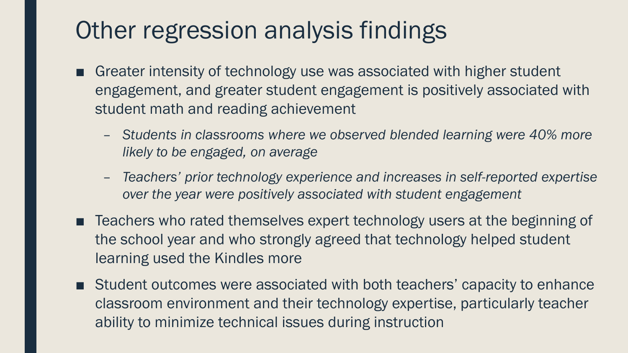# Other regression analysis findings

- Greater intensity of technology use was associated with higher student engagement, and greater student engagement is positively associated with student math and reading achievement
	- *Students in classrooms where we observed blended learning were 40% more likely to be engaged, on average*
	- *Teachers' prior technology experience and increases in self-reported expertise over the year were positively associated with student engagement*
- Teachers who rated themselves expert technology users at the beginning of the school year and who strongly agreed that technology helped student learning used the Kindles more
- Student outcomes were associated with both teachers' capacity to enhance classroom environment and their technology expertise, particularly teacher ability to minimize technical issues during instruction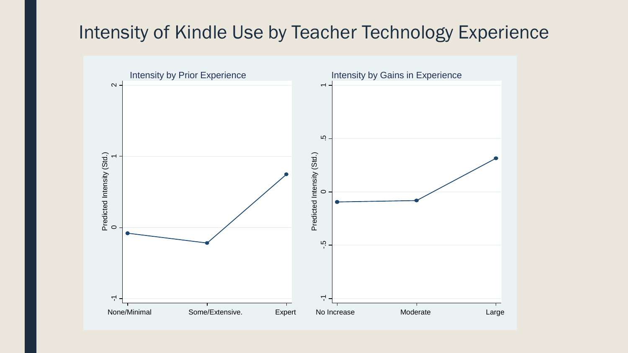## Intensity of Kindle Use by Teacher Technology Experience

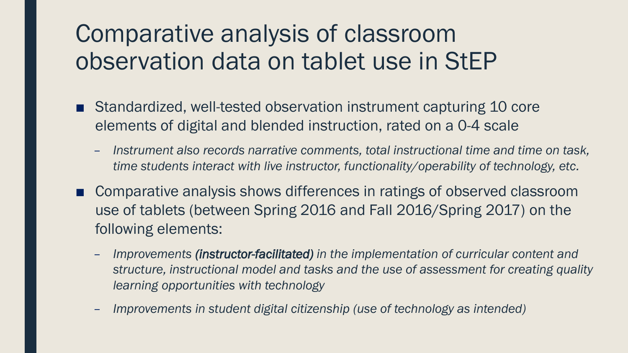# Comparative analysis of classroom observation data on tablet use in StEP

- Standardized, well-tested observation instrument capturing 10 core elements of digital and blended instruction, rated on a 0-4 scale
	- *Instrument also records narrative comments, total instructional time and time on task, time students interact with live instructor, functionality/operability of technology, etc.*
- Comparative analysis shows differences in ratings of observed classroom use of tablets (between Spring 2016 and Fall 2016/Spring 2017) on the following elements:
	- *Improvements (instructor-facilitated) in the implementation of curricular content and structure, instructional model and tasks and the use of assessment for creating quality learning opportunities with technology*
	- *Improvements in student digital citizenship (use of technology as intended)*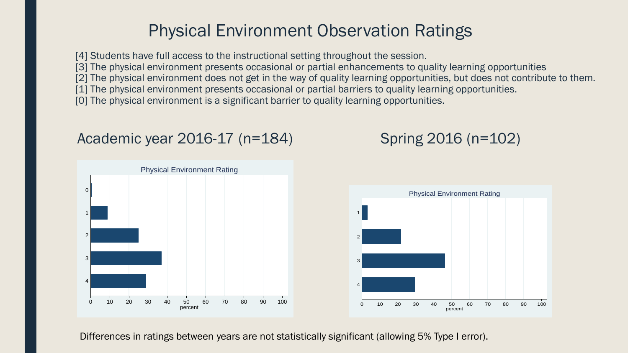## Physical Environment Observation Ratings

[4] Students have full access to the instructional setting throughout the session.

[3] The physical environment presents occasional or partial enhancements to quality learning opportunities

[2] The physical environment does not get in the way of quality learning opportunities, but does not contribute to them.

[1] The physical environment presents occasional or partial barriers to quality learning opportunities.

[0] The physical environment is a significant barrier to quality learning opportunities.

### Academic year 2016-17 (n=184)



## Spring 2016 (n=102)



Differences in ratings between years are not statistically significant (allowing 5% Type I error).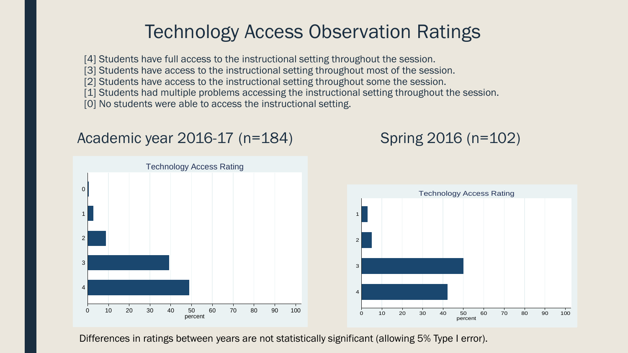## Technology Access Observation Ratings

[4] Students have full access to the instructional setting throughout the session.

[3] Students have access to the instructional setting throughout most of the session.

[2] Students have access to the instructional setting throughout some the session.

[1] Students had multiple problems accessing the instructional setting throughout the session.

[0] No students were able to access the instructional setting.

#### Academic year 2016-17 (n=184) Spring 2016 (n=102)





Differences in ratings between years are not statistically significant (allowing 5% Type I error).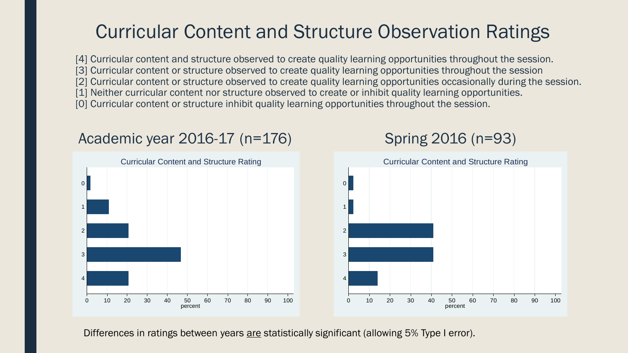## Curricular Content and Structure Observation Ratings

[4] Curricular content and structure observed to create quality learning opportunities throughout the session. [3] Curricular content or structure observed to create quality learning opportunities throughout the session [2] Curricular content or structure observed to create quality learning opportunities occasionally during the session. [1] Neither curricular content nor structure observed to create or inhibit quality learning opportunities. [0] Curricular content or structure inhibit quality learning opportunities throughout the session.

### Academic year 2016-17 (n=176) Spring 2016 (n=93)





Differences in ratings between years are statistically significant (allowing 5% Type I error).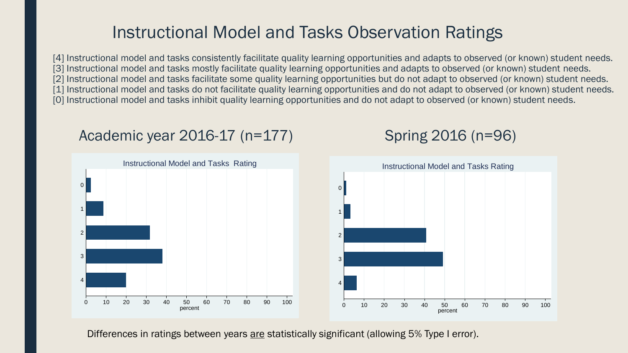## Instructional Model and Tasks Observation Ratings

[4] Instructional model and tasks consistently facilitate quality learning opportunities and adapts to observed (or known) student needs. [3] Instructional model and tasks mostly facilitate quality learning opportunities and adapts to observed (or known) student needs. [2] Instructional model and tasks facilitate some quality learning opportunities but do not adapt to observed (or known) student needs. [1] Instructional model and tasks do not facilitate quality learning opportunities and do not adapt to observed (or known) student needs. [0] Instructional model and tasks inhibit quality learning opportunities and do not adapt to observed (or known) student needs.

#### Academic year 2016-17 (n=177) Spring 2016 (n=96)



Differences in ratings between years are statistically significant (allowing 5% Type I error).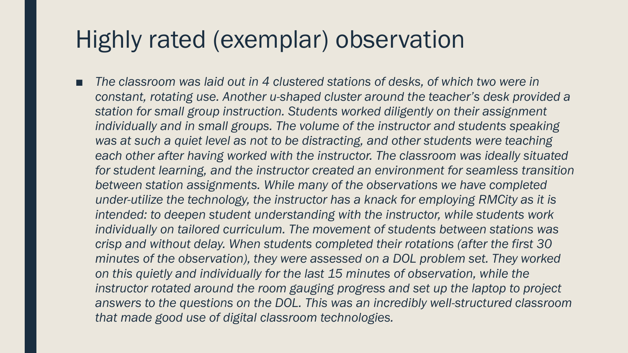## Highly rated (exemplar) observation

The classroom was laid out in 4 clustered stations of desks, of which two were in *constant, rotating use. Another u-shaped cluster around the teacher's desk provided a station for small group instruction. Students worked diligently on their assignment individually and in small groups. The volume of the instructor and students speaking was at such a quiet level as not to be distracting, and other students were teaching*  each other after having worked with the instructor. The classroom was ideally situated *for student learning, and the instructor created an environment for seamless transition between station assignments. While many of the observations we have completed under-utilize the technology, the instructor has a knack for employing RMCity as it is intended: to deepen student understanding with the instructor, while students work individually on tailored curriculum. The movement of students between stations was crisp and without delay. When students completed their rotations (after the first 30 minutes of the observation), they were assessed on a DOL problem set. They worked on this quietly and individually for the last 15 minutes of observation, while the instructor rotated around the room gauging progress and set up the laptop to project answers to the questions on the DOL. This was an incredibly well-structured classroom that made good use of digital classroom technologies.*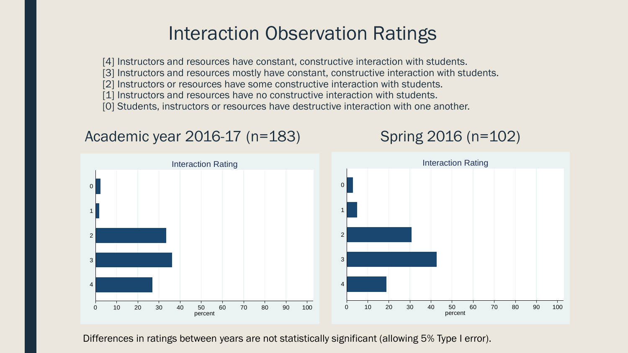## Interaction Observation Ratings

[4] Instructors and resources have constant, constructive interaction with students. [3] Instructors and resources mostly have constant, constructive interaction with students.

- [2] Instructors or resources have some constructive interaction with students.
- [1] Instructors and resources have no constructive interaction with students.
- [0] Students, instructors or resources have destructive interaction with one another.

#### Academic year 2016-17 (n=183) Spring 2016 (n=102)



Differences in ratings between years are not statistically significant (allowing 5% Type I error).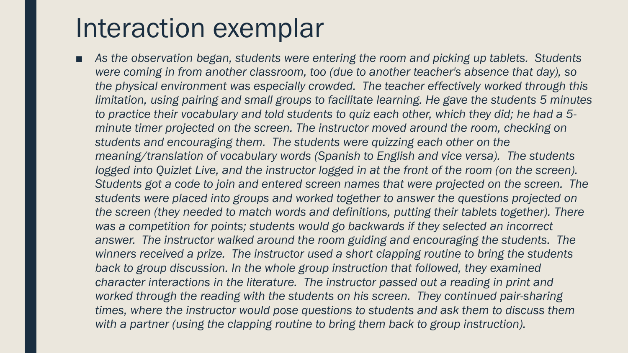# Interaction exemplar

■ As the observation began, students were entering the room and picking up tablets. Students *were coming in from another classroom, too (due to another teacher's absence that day), so the physical environment was especially crowded. The teacher effectively worked through this limitation, using pairing and small groups to facilitate learning. He gave the students 5 minutes to practice their vocabulary and told students to quiz each other, which they did; he had a 5 minute timer projected on the screen. The instructor moved around the room, checking on students and encouraging them. The students were quizzing each other on the meaning/translation of vocabulary words (Spanish to English and vice versa). The students logged into Quizlet Live, and the instructor logged in at the front of the room (on the screen). Students got a code to join and entered screen names that were projected on the screen. The students were placed into groups and worked together to answer the questions projected on the screen (they needed to match words and definitions, putting their tablets together). There was a competition for points; students would go backwards if they selected an incorrect*  answer. The instructor walked around the room guiding and encouraging the students. The *winners received a prize. The instructor used a short clapping routine to bring the students*  back to group discussion. In the whole group instruction that followed, they examined *character interactions in the literature. The instructor passed out a reading in print and worked through the reading with the students on his screen. They continued pair-sharing times, where the instructor would pose questions to students and ask them to discuss them with a partner (using the clapping routine to bring them back to group instruction).*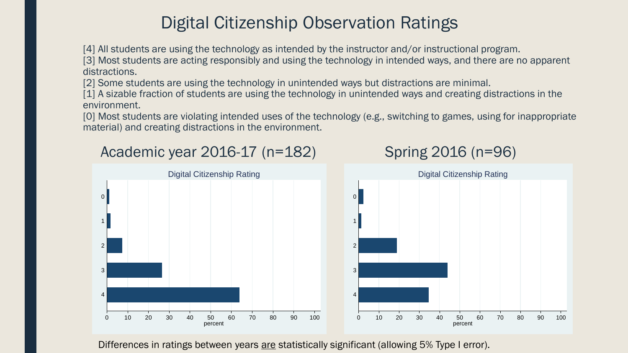## Digital Citizenship Observation Ratings

[4] All students are using the technology as intended by the instructor and/or instructional program.

[3] Most students are acting responsibly and using the technology in intended ways, and there are no apparent distractions.

[2] Some students are using the technology in unintended ways but distractions are minimal.

[1] A sizable fraction of students are using the technology in unintended ways and creating distractions in the environment.

[0] Most students are violating intended uses of the technology (e.g., switching to games, using for inappropriate material) and creating distractions in the environment.

### Academic year 2016-17 (n=182) Spring 2016 (n=96)





Differences in ratings between years are statistically significant (allowing 5% Type I error).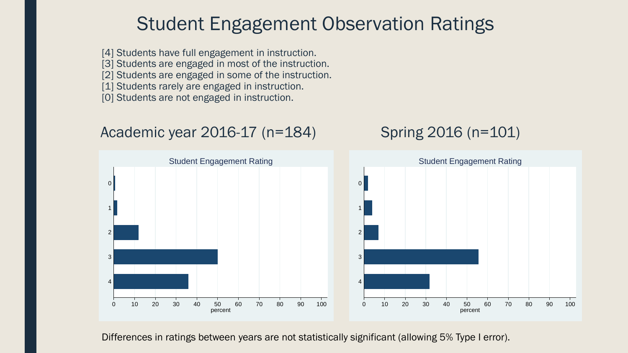## Student Engagement Observation Ratings

[4] Students have full engagement in instruction.

[3] Students are engaged in most of the instruction.

[2] Students are engaged in some of the instruction.

[1] Students rarely are engaged in instruction.

[0] Students are not engaged in instruction.

### Academic year 2016-17 (n=184) Spring 2016 (n=101)



Differences in ratings between years are not statistically significant (allowing 5% Type I error).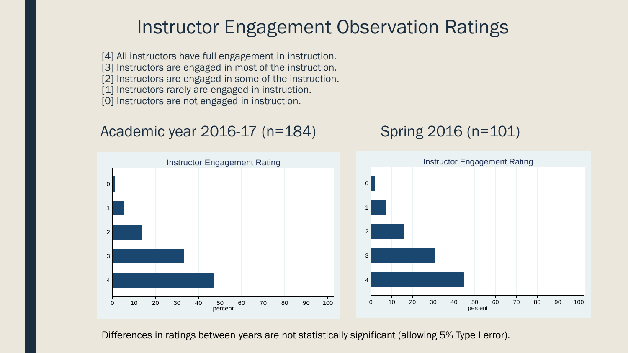## Instructor Engagement Observation Ratings

[4] All instructors have full engagement in instruction. [3] Instructors are engaged in most of the instruction. [2] Instructors are engaged in some of the instruction. [1] Instructors rarely are engaged in instruction. [0] Instructors are not engaged in instruction.

### Academic year 2016-17 (n=184) Spring 2016 (n=101)



Differences in ratings between years are not statistically significant (allowing 5% Type I error).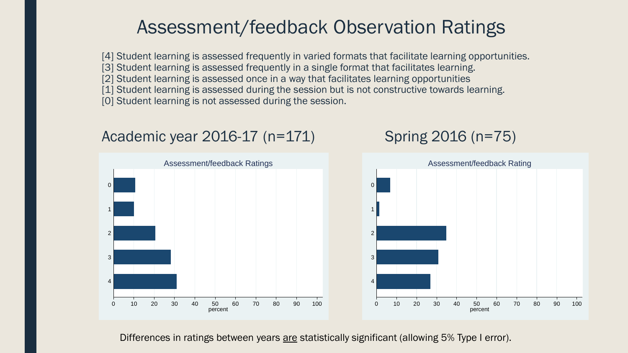## Assessment/feedback Observation Ratings

[4] Student learning is assessed frequently in varied formats that facilitate learning opportunities. [3] Student learning is assessed frequently in a single format that facilitates learning. [2] Student learning is assessed once in a way that facilitates learning opportunities [1] Student learning is assessed during the session but is not constructive towards learning. [0] Student learning is not assessed during the session.

### Academic year 2016-17 (n=171) Spring 2016 (n=75)



#### Differences in ratings between years are statistically significant (allowing 5% Type I error).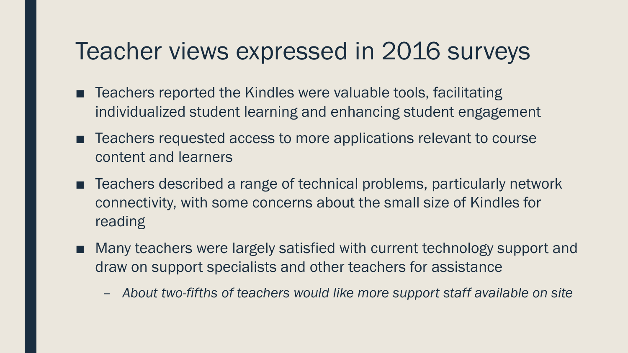## Teacher views expressed in 2016 surveys

- Teachers reported the Kindles were valuable tools, facilitating individualized student learning and enhancing student engagement
- Teachers requested access to more applications relevant to course content and learners
- Teachers described a range of technical problems, particularly network connectivity, with some concerns about the small size of Kindles for reading
- Many teachers were largely satisfied with current technology support and draw on support specialists and other teachers for assistance
	- *About two-fifths of teachers would like more support staff available on site*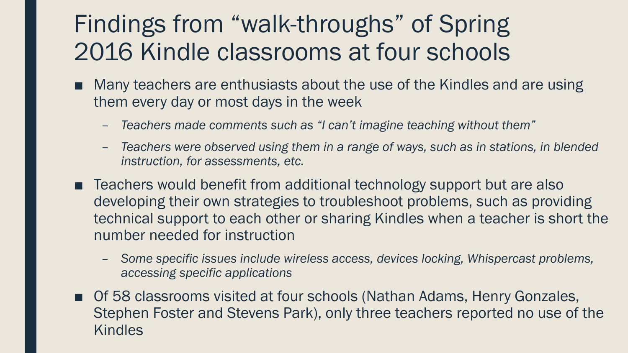# Findings from "walk-throughs" of Spring 2016 Kindle classrooms at four schools

- Many teachers are enthusiasts about the use of the Kindles and are using them every day or most days in the week
	- *Teachers made comments such as "I can't imagine teaching without them"*
	- *Teachers were observed using them in a range of ways, such as in stations, in blended instruction, for assessments, etc.*
- Teachers would benefit from additional technology support but are also developing their own strategies to troubleshoot problems, such as providing technical support to each other or sharing Kindles when a teacher is short the number needed for instruction
	- *Some specific issues include wireless access, devices locking, Whispercast problems, accessing specific applications*
- Of 58 classrooms visited at four schools (Nathan Adams, Henry Gonzales, Stephen Foster and Stevens Park), only three teachers reported no use of the **Kindles**